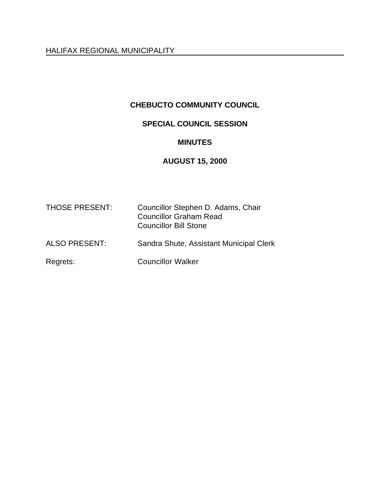HALIFAX REGIONAL MUNICIPALITY

## **CHEBUCTO COMMUNITY COUNCIL**

# **SPECIAL COUNCIL SESSION**

### **MINUTES**

## **AUGUST 15, 2000**

| <b>THOSE PRESENT:</b> | Councillor Stephen D. Adams, Chair<br><b>Councillor Graham Read</b><br><b>Councillor Bill Stone</b> |
|-----------------------|-----------------------------------------------------------------------------------------------------|
| <b>ALSO PRESENT:</b>  | Sandra Shute, Assistant Municipal Clerk                                                             |
| Regrets:              | <b>Councillor Walker</b>                                                                            |